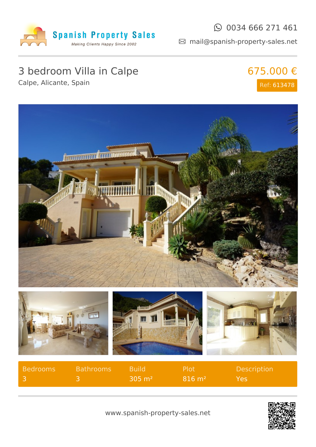

#### $\odot$  0034 666 271 461

mail@spanish-property-sales.net

# 3 bedroom Villa in Calpe

Calpe, Alicante, Spain

## 675.000 € Ref: 613478



| Bedrooms | <b>Bathrooms</b> | <b>Build</b>          | - Plot                | Description |
|----------|------------------|-----------------------|-----------------------|-------------|
|          |                  | $-305$ m <sup>2</sup> | $816 \; \mathrm{m}^2$ | Yes         |

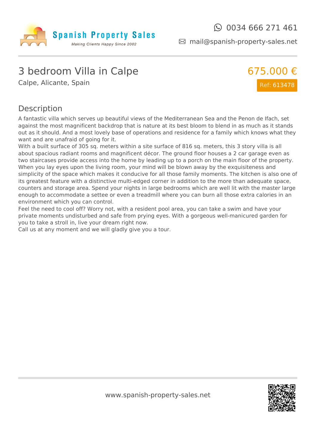

mail@spanish-property-sales.net

### 3 bedroom Villa in Calpe

Calpe, Alicante, Spain



#### Description

A fantastic villa which serves up beautiful views of the Mediterranean Sea and the Penon de Ifach, set against the most magnificent backdrop that is nature at its best bloom to blend in as much as it stands out as it should. And a most lovely base of operations and residence for a family which knows what they want and are unafraid of going for it.

With a built surface of 305 sq. meters within a site surface of 816 sq. meters, this 3 story villa is all about spacious radiant rooms and magnificent décor. The ground floor houses a 2 car garage even as two staircases provide access into the home by leading up to a porch on the main floor of the property. When you lay eyes upon the living room, your mind will be blown away by the exquisiteness and simplicity of the space which makes it conducive for all those family moments. The kitchen is also one of its greatest feature with a distinctive multi-edged corner in addition to the more than adequate space, counters and storage area. Spend your nights in large bedrooms which are well lit with the master large enough to accommodate a settee or even a treadmill where you can burn all those extra calories in an environment which you can control.

Feel the need to cool off? Worry not, with a resident pool area, you can take a swim and have your private moments undisturbed and safe from prying eyes. With a gorgeous well-manicured garden for you to take a stroll in, live your dream right now.

Call us at any moment and we will gladly give you a tour.